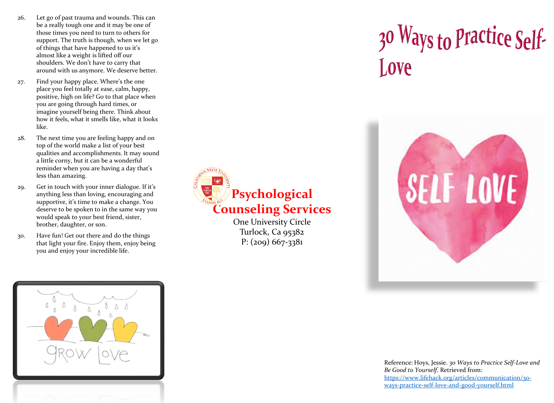- 26. Let go of past trauma and wounds. This can be a really tough one and it may be one of those times you need to turn to others for support. The truth is though, when we let go of things that have happened to us it's almost like a weight is lifted off our shoulders. We don't have to carry that around with us anymore. We deserve better.
- 27. Find your happy place. Where's the one place you feel totally at ease, calm, happy, positive, high on life? Go to that place when you are going through hard times, or imagine yourself being there. Think about how it feels, what it smells like, what it looks like.
- 28. The next time you are feeling happy and on top of the world make a list of your best qualities and accomplishments. It may sound a little corny, but it can be a wonderful reminder when you are having a day that's less than amazing.
- 29. Get in touch with your inner dialogue. If it's anything less than loving, encouraging and supportive, it's time to make a change. You deserve to be spoken to in the same way you would speak to your best friend, sister, brother, daughter, or son.
- 30. Have fun! Get out there and do the things that light your fire. Enjoy them, enjoy being you and enjoy your incredible life.

**Psychological Counseling Services**

One University Circle Turlock, Ca 95382  $P: (209) 667 - 3381$ 

## 30 Ways to Practice Self-Love



Reference: Hoys, Jessie. *30 Ways to Practice Self-Love and Be Good to Yourself.* Retrieved from: [https://www.lifehack.org/articles/communication/30](https://www.lifehack.org/articles/communication/30-ways-practice-self-love-and-good-yourself.html) ways-practice-self-love-and-good-yourself.html